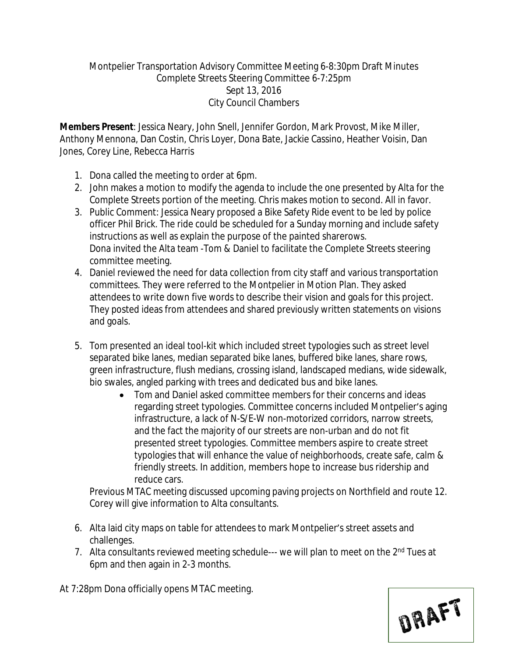## Montpelier Transportation Advisory Committee Meeting 6-8:30pm Draft Minutes Complete Streets Steering Committee 6-7:25pm Sept 13, 2016 City Council Chambers

**Members Present**: Jessica Neary, John Snell, Jennifer Gordon, Mark Provost, Mike Miller, Anthony Mennona, Dan Costin, Chris Loyer, Dona Bate, Jackie Cassino, Heather Voisin, Dan Jones, Corey Line, Rebecca Harris

- 1. Dona called the meeting to order at 6pm.
- 2. John makes a motion to modify the agenda to include the one presented by Alta for the Complete Streets portion of the meeting. Chris makes motion to second. All in favor.
- 3. Public Comment: Jessica Neary proposed a Bike Safety Ride event to be led by police officer Phil Brick. The ride could be scheduled for a Sunday morning and include safety instructions as well as explain the purpose of the painted sharerows. Dona invited the Alta team -Tom & Daniel to facilitate the Complete Streets steering committee meeting.
- 4. Daniel reviewed the need for data collection from city staff and various transportation committees. They were referred to the Montpelier in Motion Plan. They asked attendees to write down five words to describe their vision and goals for this project. They posted ideas from attendees and shared previously written statements on visions and goals.
- 5. Tom presented an ideal tool-kit which included street typologies such as street level separated bike lanes, median separated bike lanes, buffered bike lanes, share rows, green infrastructure, flush medians, crossing island, landscaped medians, wide sidewalk, bio swales, angled parking with trees and dedicated bus and bike lanes.
	- Tom and Daniel asked committee members for their concerns and ideas regarding street typologies. Committee concerns included Montpelier's aging infrastructure, a lack of N-S/E-W non-motorized corridors, narrow streets, and the fact the majority of our streets are non-urban and do not fit presented street typologies. Committee members aspire to create street typologies that will enhance the value of neighborhoods, create safe, calm & friendly streets. In addition, members hope to increase bus ridership and reduce cars.

Previous MTAC meeting discussed upcoming paving projects on Northfield and route 12. Corey will give information to Alta consultants.

- 6. Alta laid city maps on table for attendees to mark Montpelier's street assets and challenges.
- 7. Alta consultants reviewed meeting schedule--- we will plan to meet on the 2<sup>nd</sup> Tues at 6pm and then again in 2-3 months.

At 7:28pm Dona officially opens MTAC meeting.

DRAFT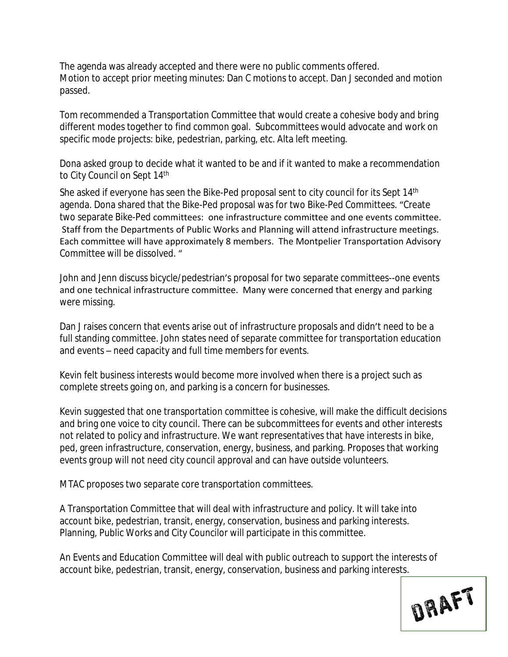The agenda was already accepted and there were no public comments offered. Motion to accept prior meeting minutes: Dan C motions to accept. Dan J seconded and motion passed.

Tom recommended a Transportation Committee that would create a cohesive body and bring different modes together to find common goal. Subcommittees would advocate and work on specific mode projects: bike, pedestrian, parking, etc. Alta left meeting.

Dona asked group to decide what it wanted to be and if it wanted to make a recommendation to City Council on Sept 14<sup>th</sup>

She asked if everyone has seen the Bike-Ped proposal sent to city council for its Sept 14<sup>th</sup> agenda. Dona shared that the Bike-Ped proposal was for two Bike-Ped Committees. "Create two separate Bike-Ped committees: one infrastructure committee and one events committee. Staff from the Departments of Public Works and Planning will attend infrastructure meetings. Each committee will have approximately 8 members. The Montpelier Transportation Advisory Committee will be dissolved. "

John and Jenn discuss bicycle/pedestrian's proposal for two separate committees--one events and one technical infrastructure committee. Many were concerned that energy and parking were missing.

Dan J raises concern that events arise out of infrastructure proposals and didn't need to be a full standing committee. John states need of separate committee for transportation education and events – need capacity and full time members for events.

Kevin felt business interests would become more involved when there is a project such as complete streets going on, and parking is a concern for businesses.

Kevin suggested that one transportation committee is cohesive, will make the difficult decisions and bring one voice to city council. There can be subcommittees for events and other interests not related to policy and infrastructure. We want representatives that have interests in bike, ped, green infrastructure, conservation, energy, business, and parking. Proposes that working events group will not need city council approval and can have outside volunteers.

MTAC proposes two separate core transportation committees.

A Transportation Committee that will deal with infrastructure and policy. It will take into account bike, pedestrian, transit, energy, conservation, business and parking interests. Planning, Public Works and City Councilor will participate in this committee.

An Events and Education Committee will deal with public outreach to support the interests of account bike, pedestrian, transit, energy, conservation, business and parking interests.

DRAFT